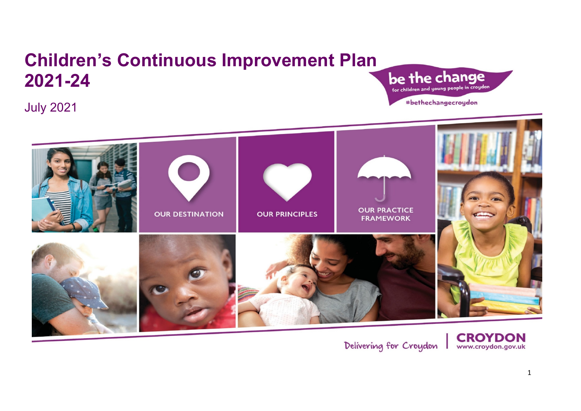# **Children's Continuous Improvement Plan 2021-24**

July 2021

be the change #bethechangecroydon



Delivering for Croydon

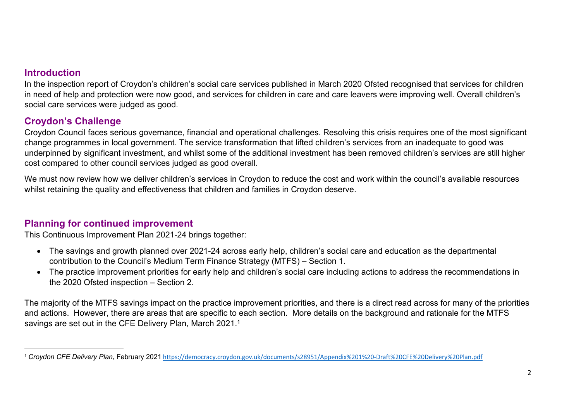#### **Introduction**

In the inspection report of Croydon's children's social care services published in March 2020 Ofsted recognised that services for children in need of help and protection were now good, and services for children in care and care leavers were improving well. Overall children's social care services were judged as good.

### **Croydon's Challenge**

Croydon Council faces serious governance, financial and operational challenges. Resolving this crisis requires one of the most significant change programmes in local government. The service transformation that lifted children's services from an inadequate to good was underpinned by significant investment, and whilst some of the additional investment has been removed children's services are still higher cost compared to other council services judged as good overall.

We must now review how we deliver children's services in Croydon to reduce the cost and work within the council's available resources whilst retaining the quality and effectiveness that children and families in Croydon deserve.

#### **Planning for continued improvement**

This Continuous Improvement Plan 2021-24 brings together:

- The savings and growth planned over 2021-24 across early help, children's social care and education as the departmental contribution to the Council's Medium Term Finance Strategy (MTFS) – Section 1.
- The practice improvement priorities for early help and children's social care including actions to address the recommendations in the 2020 Ofsted inspection – Section 2.

The majority of the MTFS savings impact on the practice improvement priorities, and there is a direct read across for many of the priorities and actions. However, there are areas that are specific to each section. More details on the background and rationale for the MTFS savings are set out in the CFE Delivery Plan, March 2021.<sup>1</sup>

<sup>1</sup> *Croydon CFE Delivery Plan,* February 2021 <https://democracy.croydon.gov.uk/documents/s28951/Appendix%201%20-Draft%20CFE%20Delivery%20Plan.pdf>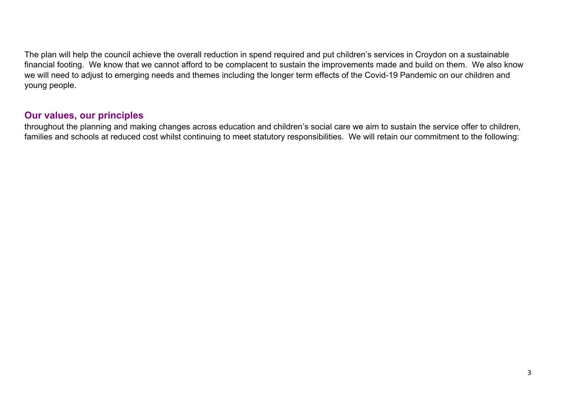The plan will help the council achieve the overall reduction in spend required and put children's services in Croydon on a sustainable financial footing. We know that we cannot afford to be complacent to sustain the improvements made and build on them. We also know we will need to adjust to emerging needs and themes including the longer term effects of the Covid-19 Pandemic on our children and young people.

#### **Our values, our principles**

throughout the planning and making changes across education and children's social care we aim to sustain the service offer to children, families and schools at reduced cost whilst continuing to meet statutory responsibilities. We will retain our commitment to the following: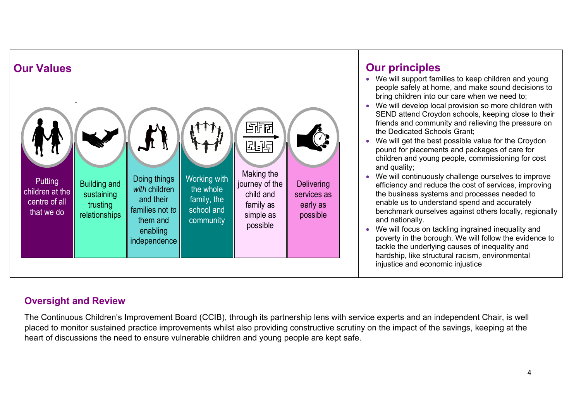

- We will support families to keep children and young people safely at home, and make sound decisions to bring children into our care when we need to;
- We will develop local provision so more children with SEND attend Croydon schools, keeping close to their friends and community and relieving the pressure on the Dedicated Schools Grant;
- We will get the best possible value for the Croydon pound for placements and packages of care for children and young people, commissioning for cost and quality;
- We will continuously challenge ourselves to improve efficiency and reduce the cost of services, improving the business systems and processes needed to enable us to understand spend and accurately benchmark ourselves against others locally, regionally and nationally.
- We will focus on tackling ingrained inequality and poverty in the borough. We will follow the evidence to tackle the underlying causes of inequality and hardship, like structural racism, environmental injustice and economic injustice

## **Oversight and Review**

The Continuous Children's Improvement Board (CCIB), through its partnership lens with service experts and an independent Chair, is well placed to monitor sustained practice improvements whilst also providing constructive scrutiny on the impact of the savings, keeping at the heart of discussions the need to ensure vulnerable children and young people are kept safe.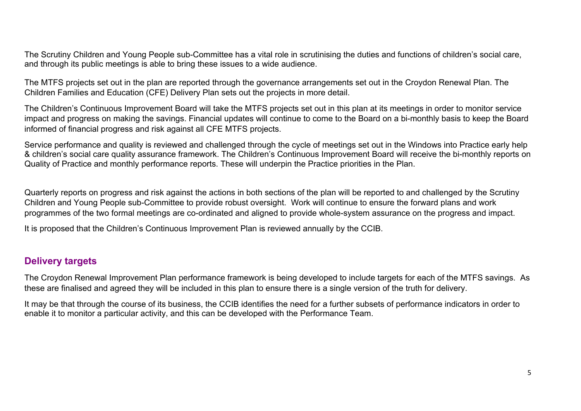The Scrutiny Children and Young People sub-Committee has a vital role in scrutinising the duties and functions of children's social care, and through its public meetings is able to bring these issues to a wide audience.

The MTFS projects set out in the plan are reported through the governance arrangements set out in the Croydon Renewal Plan. The Children Families and Education (CFE) Delivery Plan sets out the projects in more detail.

The Children's Continuous Improvement Board will take the MTFS projects set out in this plan at its meetings in order to monitor service impact and progress on making the savings. Financial updates will continue to come to the Board on a bi-monthly basis to keep the Board informed of financial progress and risk against all CFE MTFS projects.

Service performance and quality is reviewed and challenged through the cycle of meetings set out in the Windows into Practice early help & children's social care quality assurance framework. The Children's Continuous Improvement Board will receive the bi-monthly reports on Quality of Practice and monthly performance reports. These will underpin the Practice priorities in the Plan.

Quarterly reports on progress and risk against the actions in both sections of the plan will be reported to and challenged by the Scrutiny Children and Young People sub-Committee to provide robust oversight. Work will continue to ensure the forward plans and work programmes of the two formal meetings are co-ordinated and aligned to provide whole-system assurance on the progress and impact.

It is proposed that the Children's Continuous Improvement Plan is reviewed annually by the CCIB.

#### **Delivery targets**

The Croydon Renewal Improvement Plan performance framework is being developed to include targets for each of the MTFS savings. As these are finalised and agreed they will be included in this plan to ensure there is a single version of the truth for delivery.

It may be that through the course of its business, the CCIB identifies the need for a further subsets of performance indicators in order to enable it to monitor a particular activity, and this can be developed with the Performance Team.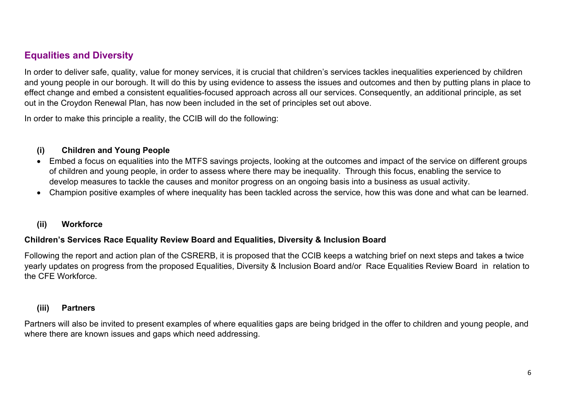#### **Equalities and Diversity**

In order to deliver safe, quality, value for money services, it is crucial that children's services tackles inequalities experienced by children and young people in our borough. It will do this by using evidence to assess the issues and outcomes and then by putting plans in place to effect change and embed a consistent equalities-focused approach across all our services. Consequently, an additional principle, as set out in the Croydon Renewal Plan, has now been included in the set of principles set out above.

In order to make this principle a reality, the CCIB will do the following:

#### **(i) Children and Young People**

- Embed a focus on equalities into the MTFS savings projects, looking at the outcomes and impact of the service on different groups of children and young people, in order to assess where there may be inequality. Through this focus, enabling the service to develop measures to tackle the causes and monitor progress on an ongoing basis into a business as usual activity.
- Champion positive examples of where inequality has been tackled across the service, how this was done and what can be learned.

#### **(ii) Workforce**

#### **Children's Services Race Equality Review Board and Equalities, Diversity & Inclusion Board**

Following the report and action plan of the CSRERB, it is proposed that the CCIB keeps a watching brief on next steps and takes a twice yearly updates on progress from the proposed Equalities, Diversity & Inclusion Board and/or Race Equalities Review Board in relation to the CFE Workforce.

#### **(iii) Partners**

Partners will also be invited to present examples of where equalities gaps are being bridged in the offer to children and young people, and where there are known issues and gaps which need addressing.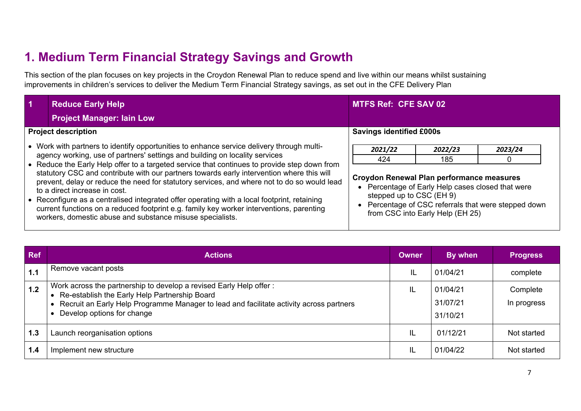# **1. Medium Term Financial Strategy Savings and Growth**

This section of the plan focuses on key projects in the Croydon Renewal Plan to reduce spend and live within our means whilst sustaining improvements in children's services to deliver the Medium Term Financial Strategy savings, as set out in the CFE Delivery Plan

| $\blacktriangleleft$ | <b>Reduce Early Help</b>                                                                                                                                                                                                                                                                                                                                                                                                                                                                                                                                                                                                                                                                                                                                      | <b>MTFS Ref: CFE SAV 02</b>                                                                    |                                                                                                       |                                                                 |
|----------------------|---------------------------------------------------------------------------------------------------------------------------------------------------------------------------------------------------------------------------------------------------------------------------------------------------------------------------------------------------------------------------------------------------------------------------------------------------------------------------------------------------------------------------------------------------------------------------------------------------------------------------------------------------------------------------------------------------------------------------------------------------------------|------------------------------------------------------------------------------------------------|-------------------------------------------------------------------------------------------------------|-----------------------------------------------------------------|
|                      | <b>Project Manager: Iain Low</b>                                                                                                                                                                                                                                                                                                                                                                                                                                                                                                                                                                                                                                                                                                                              |                                                                                                |                                                                                                       |                                                                 |
|                      | <b>Project description</b>                                                                                                                                                                                                                                                                                                                                                                                                                                                                                                                                                                                                                                                                                                                                    | <b>Savings identified £000s</b>                                                                |                                                                                                       |                                                                 |
|                      | • Work with partners to identify opportunities to enhance service delivery through multi-<br>agency working, use of partners' settings and building on locality services<br>• Reduce the Early Help offer to a targeted service that continues to provide step down from<br>statutory CSC and contribute with our partners towards early intervention where this will<br>prevent, delay or reduce the need for statutory services, and where not to do so would lead<br>to a direct increase in cost.<br>• Reconfigure as a centralised integrated offer operating with a local footprint, retaining<br>current functions on a reduced footprint e.g. family key worker interventions, parenting<br>workers, domestic abuse and substance misuse specialists. | 2021/22<br>424<br><b>Croydon Renewal Plan performance measures</b><br>stepped up to CSC (EH 9) | 2022/23<br>185<br>Percentage of Early Help cases closed that were<br>from CSC into Early Help (EH 25) | 2023/24<br>• Percentage of CSC referrals that were stepped down |

| <b>Ref</b> | <b>Actions</b>                                                                                                                                                                                                                               | <b>Owner</b> | By when                          | <b>Progress</b>         |
|------------|----------------------------------------------------------------------------------------------------------------------------------------------------------------------------------------------------------------------------------------------|--------------|----------------------------------|-------------------------|
| 1.1        | Remove vacant posts                                                                                                                                                                                                                          | IL           | 01/04/21                         | complete                |
| $1.2$      | Work across the partnership to develop a revised Early Help offer:<br>Re-establish the Early Help Partnership Board<br>Recruit an Early Help Programme Manager to lead and facilitate activity across partners<br>Develop options for change | IL           | 01/04/21<br>31/07/21<br>31/10/21 | Complete<br>In progress |
| 1.3        | Launch reorganisation options                                                                                                                                                                                                                | IL           | 01/12/21                         | Not started             |
| 1.4        | Implement new structure                                                                                                                                                                                                                      | IL           | 01/04/22                         | Not started             |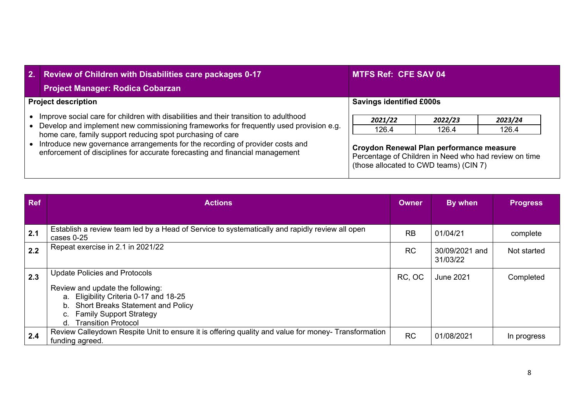| 2. Review of Children with Disabilities care packages 0-17<br><b>Project Manager: Rodica Cobarzan</b>                                                                                                                                                                                                                                                                                                        | <b>MTFS Ref: CFE SAV 04</b>                                                                                                                                     |                  |                  |
|--------------------------------------------------------------------------------------------------------------------------------------------------------------------------------------------------------------------------------------------------------------------------------------------------------------------------------------------------------------------------------------------------------------|-----------------------------------------------------------------------------------------------------------------------------------------------------------------|------------------|------------------|
| <b>Project description</b>                                                                                                                                                                                                                                                                                                                                                                                   | <b>Savings identified £000s</b>                                                                                                                                 |                  |                  |
| Improve social care for children with disabilities and their transition to adulthood<br>Develop and implement new commissioning frameworks for frequently used provision e.g.<br>home care, family support reducing spot purchasing of care<br>Introduce new governance arrangements for the recording of provider costs and<br>enforcement of disciplines for accurate forecasting and financial management | 2021/22<br>126.4<br>Croydon Renewal Plan performance measure<br>Percentage of Children in Need who had review on time<br>(those allocated to CWD teams) (CIN 7) | 2022/23<br>126.4 | 2023/24<br>126.4 |

| Ref | <b>Actions</b>                                                                                                                                                                                                               | <b>Owner</b> | By when                    | <b>Progress</b> |
|-----|------------------------------------------------------------------------------------------------------------------------------------------------------------------------------------------------------------------------------|--------------|----------------------------|-----------------|
|     |                                                                                                                                                                                                                              |              |                            |                 |
| 2.1 | Establish a review team led by a Head of Service to systematically and rapidly review all open<br>cases 0-25                                                                                                                 | <b>RB</b>    | 01/04/21                   | complete        |
| 2.2 | Repeat exercise in 2.1 in 2021/22                                                                                                                                                                                            | <b>RC</b>    | 30/09/2021 and<br>31/03/22 | Not started     |
| 2.3 | <b>Update Policies and Protocols</b><br>Review and update the following:<br>a. Eligibility Criteria 0-17 and 18-25<br>b. Short Breaks Statement and Policy<br><b>Family Support Strategy</b><br>C.<br>d. Transition Protocol | RC, OC       | June 2021                  | Completed       |
| 2.4 | Review Calleydown Respite Unit to ensure it is offering quality and value for money- Transformation<br>funding agreed.                                                                                                       | <b>RC</b>    | 01/08/2021                 | In progress     |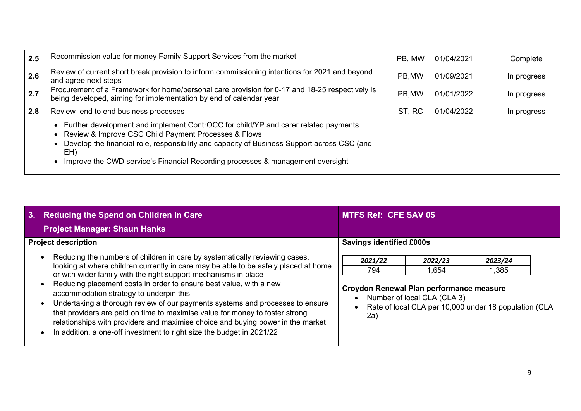| 2.5 | Recommission value for money Family Support Services from the market                                                                                                                                                                                                                                                               | PB, MW | 01/04/2021 | Complete    |
|-----|------------------------------------------------------------------------------------------------------------------------------------------------------------------------------------------------------------------------------------------------------------------------------------------------------------------------------------|--------|------------|-------------|
| 2.6 | Review of current short break provision to inform commissioning intentions for 2021 and beyond<br>and agree next steps                                                                                                                                                                                                             | PB,MW  | 01/09/2021 | In progress |
| 2.7 | Procurement of a Framework for home/personal care provision for 0-17 and 18-25 respectively is<br>being developed, aiming for implementation by end of calendar year                                                                                                                                                               | PB,MW  | 01/01/2022 | In progress |
| 2.8 | Review end to end business processes                                                                                                                                                                                                                                                                                               | ST, RC | 01/04/2022 | In progress |
|     | Further development and implement ContrOCC for child/YP and carer related payments<br>Review & Improve CSC Child Payment Processes & Flows<br>Develop the financial role, responsibility and capacity of Business Support across CSC (and<br>EH)<br>Improve the CWD service's Financial Recording processes & management oversight |        |            |             |

| 3.1 | <b>Reducing the Spend on Children in Care</b><br><b>Project Manager: Shaun Hanks</b>                                                                                                                                                                                                                                                                                                                                                                                                                                                                                                                                                                                                | <b>MTFS Ref: CFE SAV 05</b>                                                                                                                                                                       |
|-----|-------------------------------------------------------------------------------------------------------------------------------------------------------------------------------------------------------------------------------------------------------------------------------------------------------------------------------------------------------------------------------------------------------------------------------------------------------------------------------------------------------------------------------------------------------------------------------------------------------------------------------------------------------------------------------------|---------------------------------------------------------------------------------------------------------------------------------------------------------------------------------------------------|
|     | <b>Project description</b>                                                                                                                                                                                                                                                                                                                                                                                                                                                                                                                                                                                                                                                          | <b>Savings identified £000s</b>                                                                                                                                                                   |
|     | Reducing the numbers of children in care by systematically reviewing cases,<br>looking at where children currently in care may be able to be safely placed at home<br>or with wider family with the right support mechanisms in place<br>Reducing placement costs in order to ensure best value, with a new<br>accommodation strategy to underpin this<br>Undertaking a thorough review of our payments systems and processes to ensure<br>that providers are paid on time to maximise value for money to foster strong<br>relationships with providers and maximise choice and buying power in the market<br>In addition, a one-off investment to right size the budget in 2021/22 | 2021/22<br>2023/24<br>2022/23<br>794<br>1,385<br>1,654<br>Croydon Renewal Plan performance measure<br>Number of local CLA (CLA 3)<br>Rate of local CLA per 10,000 under 18 population (CLA<br>2a) |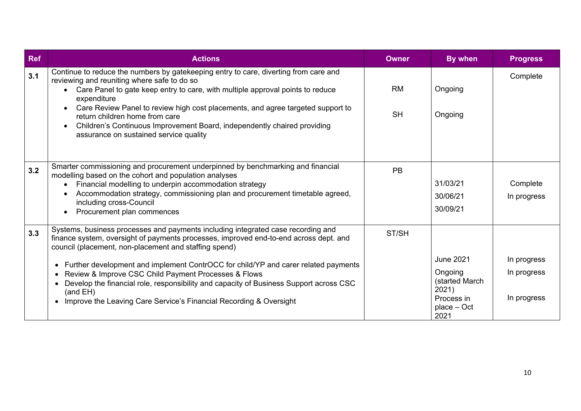| <b>Ref</b> | <b>Actions</b>                                                                                                                                                                                                                                                                                                                                                                                                                                                                                                                                                                 | <b>Owner</b>           | By when                                                                                     | <b>Progress</b>                           |
|------------|--------------------------------------------------------------------------------------------------------------------------------------------------------------------------------------------------------------------------------------------------------------------------------------------------------------------------------------------------------------------------------------------------------------------------------------------------------------------------------------------------------------------------------------------------------------------------------|------------------------|---------------------------------------------------------------------------------------------|-------------------------------------------|
| 3.1        | Continue to reduce the numbers by gatekeeping entry to care, diverting from care and<br>reviewing and reuniting where safe to do so<br>Care Panel to gate keep entry to care, with multiple approval points to reduce<br>$\bullet$<br>expenditure<br>Care Review Panel to review high cost placements, and agree targeted support to<br>$\bullet$<br>return children home from care<br>Children's Continuous Improvement Board, independently chaired providing<br>$\bullet$<br>assurance on sustained service quality                                                         | <b>RM</b><br><b>SH</b> | Ongoing<br>Ongoing                                                                          | Complete                                  |
| 3.2        | Smarter commissioning and procurement underpinned by benchmarking and financial<br>modelling based on the cohort and population analyses<br>Financial modelling to underpin accommodation strategy<br>$\bullet$<br>Accommodation strategy, commissioning plan and procurement timetable agreed,<br>$\bullet$<br>including cross-Council<br>Procurement plan commences<br>$\bullet$                                                                                                                                                                                             | <b>PB</b>              | 31/03/21<br>30/06/21<br>30/09/21                                                            | Complete<br>In progress                   |
| 3.3        | Systems, business processes and payments including integrated case recording and<br>finance system, oversight of payments processes, improved end-to-end across dept. and<br>council (placement, non-placement and staffing spend)<br>Further development and implement ContrOCC for child/YP and carer related payments<br>$\bullet$<br>Review & Improve CSC Child Payment Processes & Flows<br>٠<br>Develop the financial role, responsibility and capacity of Business Support across CSC<br>(and EH)<br>Improve the Leaving Care Service's Financial Recording & Oversight | ST/SH                  | <b>June 2021</b><br>Ongoing<br>(started March<br>2021)<br>Process in<br>place – Oct<br>2021 | In progress<br>In progress<br>In progress |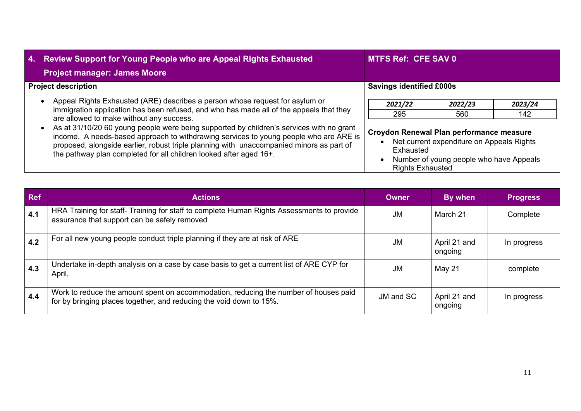| 4. | <b>Review Support for Young People who are Appeal Rights Exhausted</b><br><b>Project manager: James Moore</b>                                                                                                                                                                                                                                       | <b>MTFS Ref: CFE SAV 0</b>                                                                                                                                               |                |                |  |
|----|-----------------------------------------------------------------------------------------------------------------------------------------------------------------------------------------------------------------------------------------------------------------------------------------------------------------------------------------------------|--------------------------------------------------------------------------------------------------------------------------------------------------------------------------|----------------|----------------|--|
|    | <b>Project description</b>                                                                                                                                                                                                                                                                                                                          | <b>Savings identified £000s</b>                                                                                                                                          |                |                |  |
|    | Appeal Rights Exhausted (ARE) describes a person whose request for asylum or<br>immigration application has been refused, and who has made all of the appeals that they<br>are allowed to make without any success.                                                                                                                                 | 2021/22<br>295                                                                                                                                                           | 2022/23<br>560 | 2023/24<br>142 |  |
|    | As at 31/10/20 60 young people were being supported by children's services with no grant<br>income. A needs-based approach to withdrawing services to young people who are ARE is<br>proposed, alongside earlier, robust triple planning with unaccompanied minors as part of<br>the pathway plan completed for all children looked after aged 16+. | Croydon Renewal Plan performance measure<br>Net current expenditure on Appeals Rights<br>Exhausted<br>Number of young people who have Appeals<br><b>Rights Exhausted</b> |                |                |  |

| Ref           | <b>Actions</b>                                                                                                                                              | <b>Owner</b> | By when                 | <b>Progress</b> |
|---------------|-------------------------------------------------------------------------------------------------------------------------------------------------------------|--------------|-------------------------|-----------------|
| 4.1           | HRA Training for staff- Training for staff to complete Human Rights Assessments to provide<br>assurance that support can be safely removed                  | <b>JM</b>    | March 21                | Complete        |
| 4.2           | For all new young people conduct triple planning if they are at risk of ARE                                                                                 | JM           | April 21 and<br>ongoing | In progress     |
| $ 4.3\rangle$ | Undertake in-depth analysis on a case by case basis to get a current list of ARE CYP for<br>April,                                                          | JM           | May 21                  | complete        |
| 4.4           | Work to reduce the amount spent on accommodation, reducing the number of houses paid<br>for by bringing places together, and reducing the void down to 15%. | JM and SC    | April 21 and<br>ongoing | In progress     |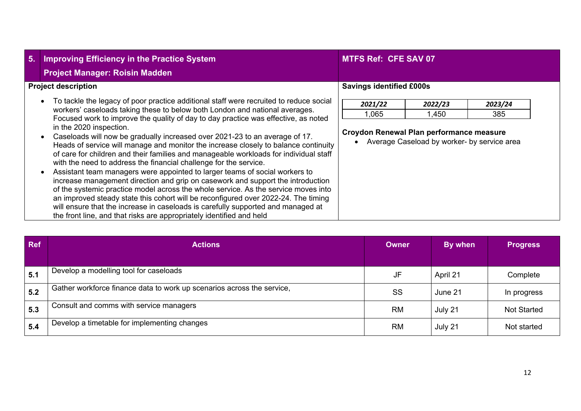| 5. | <b>Improving Efficiency in the Practice System</b><br><b>Project Manager: Roisin Madden</b>                                                                                                                                                                                                                                                                                                                                                                                                                                                                                                                                                                                                                                                                                                                                                                                                                                                                                                                                                                                                                                          | <b>MTFS Ref: CFE SAV 07</b>                                  |                                                                 |                |
|----|--------------------------------------------------------------------------------------------------------------------------------------------------------------------------------------------------------------------------------------------------------------------------------------------------------------------------------------------------------------------------------------------------------------------------------------------------------------------------------------------------------------------------------------------------------------------------------------------------------------------------------------------------------------------------------------------------------------------------------------------------------------------------------------------------------------------------------------------------------------------------------------------------------------------------------------------------------------------------------------------------------------------------------------------------------------------------------------------------------------------------------------|--------------------------------------------------------------|-----------------------------------------------------------------|----------------|
|    | <b>Project description</b>                                                                                                                                                                                                                                                                                                                                                                                                                                                                                                                                                                                                                                                                                                                                                                                                                                                                                                                                                                                                                                                                                                           | <b>Savings identified £000s</b>                              |                                                                 |                |
|    | To tackle the legacy of poor practice additional staff were recruited to reduce social<br>workers' caseloads taking these to below both London and national averages.<br>Focused work to improve the quality of day to day practice was effective, as noted<br>in the 2020 inspection.<br>Caseloads will now be gradually increased over 2021-23 to an average of 17.<br>Heads of service will manage and monitor the increase closely to balance continuity<br>of care for children and their families and manageable workloads for individual staff<br>with the need to address the financial challenge for the service.<br>Assistant team managers were appointed to larger teams of social workers to<br>increase management direction and grip on casework and support the introduction<br>of the systemic practice model across the whole service. As the service moves into<br>an improved steady state this cohort will be reconfigured over 2022-24. The timing<br>will ensure that the increase in caseloads is carefully supported and managed at<br>the front line, and that risks are appropriately identified and held | 2021/22<br>1,065<br>Croydon Renewal Plan performance measure | 2022/23<br>1,450<br>Average Caseload by worker- by service area | 2023/24<br>385 |

| <b>Ref</b> | <b>Actions</b>                                                         | <b>Owner</b> | By when  | <b>Progress</b>    |
|------------|------------------------------------------------------------------------|--------------|----------|--------------------|
| 5.1        | Develop a modelling tool for caseloads                                 | JF           | April 21 | Complete           |
| 5.2        | Gather workforce finance data to work up scenarios across the service, | SS           | June 21  | In progress        |
| 5.3        | Consult and comms with service managers                                | <b>RM</b>    | July 21  | <b>Not Started</b> |
| 5.4        | Develop a timetable for implementing changes                           | <b>RM</b>    | July 21  | Not started        |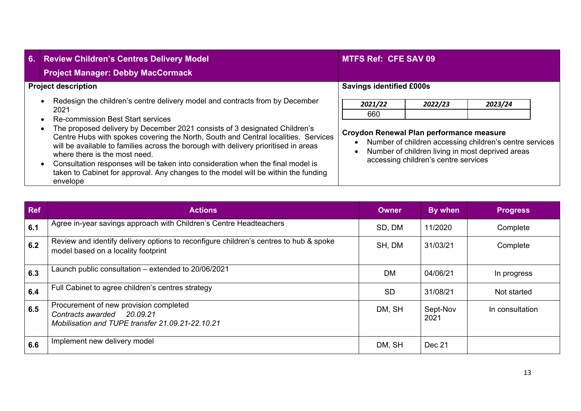| 6. | <b>Review Children's Centres Delivery Model</b><br><b>Project Manager: Debby MacCormack</b>                                                                                                                                                                                                                                                                                                                                                                                                                                                                                                                       | <b>MTFS Ref: CFE SAV 09</b>                                |                                                 |                                                                                                                        |
|----|-------------------------------------------------------------------------------------------------------------------------------------------------------------------------------------------------------------------------------------------------------------------------------------------------------------------------------------------------------------------------------------------------------------------------------------------------------------------------------------------------------------------------------------------------------------------------------------------------------------------|------------------------------------------------------------|-------------------------------------------------|------------------------------------------------------------------------------------------------------------------------|
|    | <b>Project description</b>                                                                                                                                                                                                                                                                                                                                                                                                                                                                                                                                                                                        | <b>Savings identified £000s</b>                            |                                                 |                                                                                                                        |
|    | Redesign the children's centre delivery model and contracts from by December<br>2021<br><b>Re-commission Best Start services</b><br>The proposed delivery by December 2021 consists of 3 designated Children's<br>Centre Hubs with spokes covering the North, South and Central localities. Services<br>will be available to families across the borough with delivery prioritised in areas<br>where there is the most need.<br>Consultation responses will be taken into consideration when the final model is<br>taken to Cabinet for approval. Any changes to the model will be within the funding<br>envelope | 2021/22<br>660<br>Croydon Renewal Plan performance measure | 2022/23<br>accessing children's centre services | 2023/24<br>Number of children accessing children's centre services<br>Number of children living in most deprived areas |

| <b>Ref</b> | <b>Actions</b>                                                                                                               | <b>Owner</b> | By when          | <b>Progress</b> |
|------------|------------------------------------------------------------------------------------------------------------------------------|--------------|------------------|-----------------|
| 6.1        | Agree in-year savings approach with Children's Centre Headteachers                                                           | SD, DM       | 11/2020          | Complete        |
| 6.2        | Review and identify delivery options to reconfigure children's centres to hub & spoke<br>model based on a locality footprint | SH, DM       | 31/03/21         | Complete        |
| 6.3        | Launch public consultation – extended to 20/06/2021                                                                          | <b>DM</b>    | 04/06/21         | In progress     |
| 6.4        | Full Cabinet to agree children's centres strategy                                                                            | <b>SD</b>    | 31/08/21         | Not started     |
| 6.5        | Procurement of new provision completed<br>Contracts awarded 20.09.21<br>Mobilisation and TUPE transfer 21.09.21-22.10.21     | DM, SH       | Sept-Nov<br>2021 | In consultation |
| 6.6        | Implement new delivery model                                                                                                 | DM, SH       | Dec 21           |                 |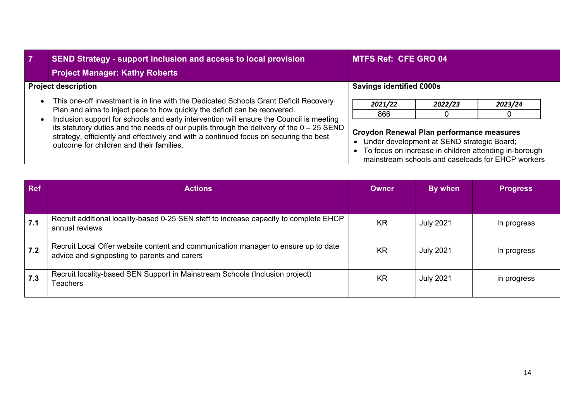| $\overline{7}$ | <b>SEND Strategy - support inclusion and access to local provision</b><br><b>Project Manager: Kathy Roberts</b>                                                                                                                                                                                                                                                                                                                                                                                 | <b>MTFS Ref: CFE GRO 04</b>                                                                                                                                                                             |  |  |  |  |
|----------------|-------------------------------------------------------------------------------------------------------------------------------------------------------------------------------------------------------------------------------------------------------------------------------------------------------------------------------------------------------------------------------------------------------------------------------------------------------------------------------------------------|---------------------------------------------------------------------------------------------------------------------------------------------------------------------------------------------------------|--|--|--|--|
|                | <b>Project description</b>                                                                                                                                                                                                                                                                                                                                                                                                                                                                      | <b>Savings identified £000s</b>                                                                                                                                                                         |  |  |  |  |
|                | This one-off investment is in line with the Dedicated Schools Grant Deficit Recovery<br>Plan and aims to inject pace to how quickly the deficit can be recovered.<br>Inclusion support for schools and early intervention will ensure the Council is meeting<br>its statutory duties and the needs of our pupils through the delivery of the $0 - 25$ SEND<br>strategy, efficiently and effectively and with a continued focus on securing the best<br>outcome for children and their families. | 2021/22<br>2022/23<br>2023/24<br>866                                                                                                                                                                    |  |  |  |  |
|                |                                                                                                                                                                                                                                                                                                                                                                                                                                                                                                 | Croydon Renewal Plan performance measures<br>Under development at SEND strategic Board;<br>• To focus on increase in children attending in-borough<br>mainstream schools and caseloads for EHCP workers |  |  |  |  |

| <b>Ref</b> | <b>Actions</b>                                                                                                                     | <b>Owner</b> | By when          | <b>Progress</b> |
|------------|------------------------------------------------------------------------------------------------------------------------------------|--------------|------------------|-----------------|
|            |                                                                                                                                    |              |                  |                 |
| 7.1        | Recruit additional locality-based 0-25 SEN staff to increase capacity to complete EHCP<br>annual reviews                           | <b>KR</b>    | <b>July 2021</b> | In progress     |
| 7.2        | Recruit Local Offer website content and communication manager to ensure up to date<br>advice and signposting to parents and carers | <b>KR</b>    | <b>July 2021</b> | In progress     |
| 7.3        | Recruit locality-based SEN Support in Mainstream Schools (Inclusion project)<br><b>Teachers</b>                                    | <b>KR</b>    | <b>July 2021</b> | in progress     |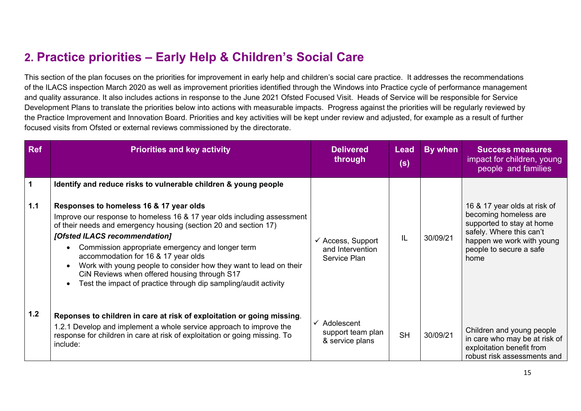# **2. Practice priorities – Early Help & Children's Social Care**

This section of the plan focuses on the priorities for improvement in early help and children's social care practice. It addresses the recommendations of the ILACS inspection March 2020 as well as improvement priorities identified through the Windows into Practice cycle of performance management and quality assurance. It also includes actions in response to the June 2021 Ofsted Focused Visit. Heads of Service will be responsible for Service Development Plans to translate the priorities below into actions with measurable impacts. Progress against the priorities will be regularly reviewed by the Practice Improvement and Innovation Board. Priorities and key activities will be kept under review and adjusted, for example as a result of further focused visits from Ofsted or external reviews commissioned by the directorate.

| <b>Ref</b>  | <b>Priorities and key activity</b>                                                                                                                                                                                                                                                                                                                                                                                                                                                                         | <b>Delivered</b><br>through                                      | <b>Lead</b><br>(s) | By when  | <b>Success measures</b><br>impact for children, young<br>people and families                                                                                                   |
|-------------|------------------------------------------------------------------------------------------------------------------------------------------------------------------------------------------------------------------------------------------------------------------------------------------------------------------------------------------------------------------------------------------------------------------------------------------------------------------------------------------------------------|------------------------------------------------------------------|--------------------|----------|--------------------------------------------------------------------------------------------------------------------------------------------------------------------------------|
| $\mathbf 1$ | Identify and reduce risks to vulnerable children & young people                                                                                                                                                                                                                                                                                                                                                                                                                                            |                                                                  |                    |          |                                                                                                                                                                                |
| $1.1$       | Responses to homeless 16 & 17 year olds<br>Improve our response to homeless 16 & 17 year olds including assessment<br>of their needs and emergency housing (section 20 and section 17)<br>[Ofsted ILACS recommendation]<br>Commission appropriate emergency and longer term<br>accommodation for 16 & 17 year olds<br>Work with young people to consider how they want to lead on their<br>CiN Reviews when offered housing through S17<br>Test the impact of practice through dip sampling/audit activity | $\checkmark$ Access, Support<br>and Intervention<br>Service Plan | IL                 | 30/09/21 | 16 & 17 year olds at risk of<br>becoming homeless are<br>supported to stay at home<br>safely. Where this can't<br>happen we work with young<br>people to secure a safe<br>home |
| 1.2         | Reponses to children in care at risk of exploitation or going missing.<br>1.2.1 Develop and implement a whole service approach to improve the<br>response for children in care at risk of exploitation or going missing. To<br>include:                                                                                                                                                                                                                                                                    | $\checkmark$ Adolescent<br>support team plan<br>& service plans  | <b>SH</b>          | 30/09/21 | Children and young people<br>in care who may be at risk of<br>exploitation benefit from<br>robust risk assessments and                                                         |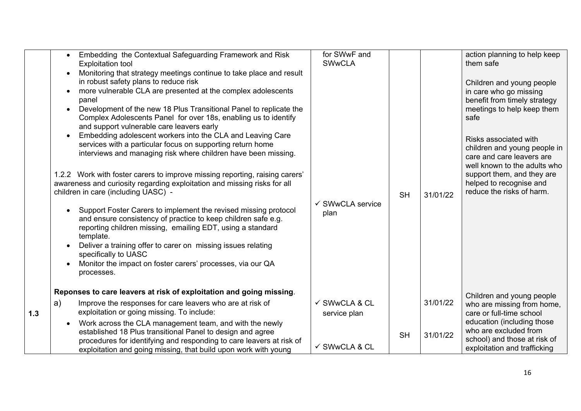|     | Embedding the Contextual Safeguarding Framework and Risk<br><b>Exploitation tool</b><br>Monitoring that strategy meetings continue to take place and result<br>in robust safety plans to reduce risk<br>more vulnerable CLA are presented at the complex adolescents<br>panel<br>Development of the new 18 Plus Transitional Panel to replicate the<br>Complex Adolescents Panel for over 18s, enabling us to identify<br>and support vulnerable care leavers early<br>Embedding adolescent workers into the CLA and Leaving Care<br>services with a particular focus on supporting return home<br>interviews and managing risk where children have been missing.<br>1.2.2 Work with foster carers to improve missing reporting, raising carers'<br>awareness and curiosity regarding exploitation and missing risks for all<br>children in care (including UASC) -<br>Support Foster Carers to implement the revised missing protocol<br>and ensure consistency of practice to keep children safe e.g.<br>reporting children missing, emailing EDT, using a standard<br>template.<br>Deliver a training offer to carer on missing issues relating<br>specifically to UASC<br>Monitor the impact on foster carers' processes, via our QA<br>processes. | for SWwF and<br><b>SWwCLA</b><br><b>SH</b><br>$\checkmark$ SWwCLA service<br>plan | 31/01/22 | action planning to help keep<br>them safe<br>Children and young people<br>in care who go missing<br>benefit from timely strategy<br>meetings to help keep them<br>safe<br>Risks associated with<br>children and young people in<br>care and care leavers are<br>well known to the adults who<br>support them, and they are<br>helped to recognise and<br>reduce the risks of harm. |
|-----|--------------------------------------------------------------------------------------------------------------------------------------------------------------------------------------------------------------------------------------------------------------------------------------------------------------------------------------------------------------------------------------------------------------------------------------------------------------------------------------------------------------------------------------------------------------------------------------------------------------------------------------------------------------------------------------------------------------------------------------------------------------------------------------------------------------------------------------------------------------------------------------------------------------------------------------------------------------------------------------------------------------------------------------------------------------------------------------------------------------------------------------------------------------------------------------------------------------------------------------------------------|-----------------------------------------------------------------------------------|----------|------------------------------------------------------------------------------------------------------------------------------------------------------------------------------------------------------------------------------------------------------------------------------------------------------------------------------------------------------------------------------------|
|     | Reponses to care leavers at risk of exploitation and going missing.                                                                                                                                                                                                                                                                                                                                                                                                                                                                                                                                                                                                                                                                                                                                                                                                                                                                                                                                                                                                                                                                                                                                                                                    |                                                                                   |          | Children and young people                                                                                                                                                                                                                                                                                                                                                          |
| 1.3 | a)<br>Improve the responses for care leavers who are at risk of<br>exploitation or going missing. To include:                                                                                                                                                                                                                                                                                                                                                                                                                                                                                                                                                                                                                                                                                                                                                                                                                                                                                                                                                                                                                                                                                                                                          | ✓ SWwCLA & CL<br>service plan                                                     | 31/01/22 | who are missing from home,<br>care or full-time school                                                                                                                                                                                                                                                                                                                             |
|     | Work across the CLA management team, and with the newly<br>established 18 Plus transitional Panel to design and agree<br>procedures for identifying and responding to care leavers at risk of<br>exploitation and going missing, that build upon work with young                                                                                                                                                                                                                                                                                                                                                                                                                                                                                                                                                                                                                                                                                                                                                                                                                                                                                                                                                                                       | <b>SH</b><br>✓ SWwCLA & CL                                                        | 31/01/22 | education (including those<br>who are excluded from<br>school) and those at risk of<br>exploitation and trafficking                                                                                                                                                                                                                                                                |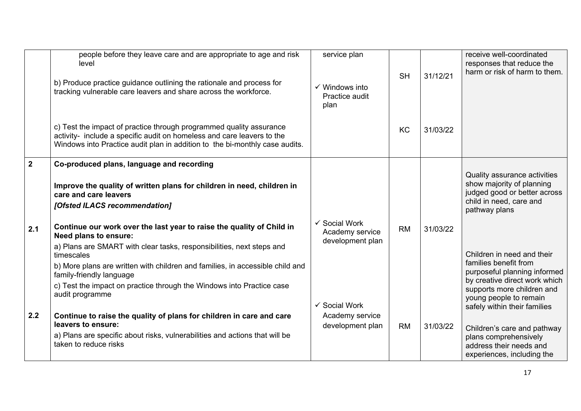|                       | people before they leave care and are appropriate to age and risk<br>level<br>b) Produce practice guidance outlining the rationale and process for<br>tracking vulnerable care leavers and share across the workforce.<br>c) Test the impact of practice through programmed quality assurance<br>activity- include a specific audit on homeless and care leavers to the<br>Windows into Practice audit plan in addition to the bi-monthly case audits.                                                                                                              | service plan<br>$\checkmark$ Windows into<br>Practice audit<br>plan | <b>SH</b><br><b>KC</b> | 31/12/21<br>31/03/22 | receive well-coordinated<br>responses that reduce the<br>harm or risk of harm to them.                                                                                                                                                                                                      |
|-----------------------|---------------------------------------------------------------------------------------------------------------------------------------------------------------------------------------------------------------------------------------------------------------------------------------------------------------------------------------------------------------------------------------------------------------------------------------------------------------------------------------------------------------------------------------------------------------------|---------------------------------------------------------------------|------------------------|----------------------|---------------------------------------------------------------------------------------------------------------------------------------------------------------------------------------------------------------------------------------------------------------------------------------------|
| $\overline{2}$<br>2.1 | Co-produced plans, language and recording<br>Improve the quality of written plans for children in need, children in<br>care and care leavers<br>[Ofsted ILACS recommendation]<br>Continue our work over the last year to raise the quality of Child in<br><b>Need plans to ensure:</b><br>a) Plans are SMART with clear tasks, responsibilities, next steps and<br>timescales<br>b) More plans are written with children and families, in accessible child and<br>family-friendly language<br>c) Test the impact on practice through the Windows into Practice case | ✓ Social Work<br>Academy service<br>development plan                | <b>RM</b>              | 31/03/22             | Quality assurance activities<br>show majority of planning<br>judged good or better across<br>child in need, care and<br>pathway plans<br>Children in need and their<br>families benefit from<br>purposeful planning informed<br>by creative direct work which<br>supports more children and |
| 2.2                   | audit programme<br>Continue to raise the quality of plans for children in care and care<br>leavers to ensure:<br>a) Plans are specific about risks, vulnerabilities and actions that will be<br>taken to reduce risks                                                                                                                                                                                                                                                                                                                                               | ✔ Social Work<br>Academy service<br>development plan                | <b>RM</b>              | 31/03/22             | young people to remain<br>safely within their families<br>Children's care and pathway<br>plans comprehensively<br>address their needs and<br>experiences, including the                                                                                                                     |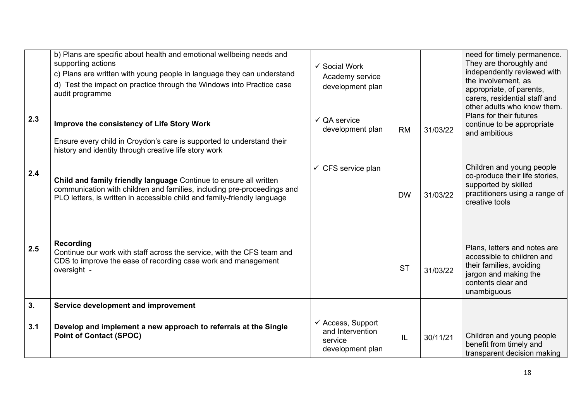|     | b) Plans are specific about health and emotional wellbeing needs and<br>supporting actions<br>c) Plans are written with young people in language they can understand<br>d) Test the impact on practice through the Windows into Practice case<br>audit programme | ✓ Social Work<br>Academy service<br>development plan                            |           |          | need for timely permanence.<br>They are thoroughly and<br>independently reviewed with<br>the involvement, as<br>appropriate, of parents,<br>carers, residential staff and<br>other adults who know them. |
|-----|------------------------------------------------------------------------------------------------------------------------------------------------------------------------------------------------------------------------------------------------------------------|---------------------------------------------------------------------------------|-----------|----------|----------------------------------------------------------------------------------------------------------------------------------------------------------------------------------------------------------|
| 2.3 | Improve the consistency of Life Story Work<br>Ensure every child in Croydon's care is supported to understand their<br>history and identity through creative life story work                                                                                     | $\checkmark$ QA service<br>development plan                                     | <b>RM</b> | 31/03/22 | Plans for their futures<br>continue to be appropriate<br>and ambitious                                                                                                                                   |
| 2.4 | Child and family friendly language Continue to ensure all written<br>communication with children and families, including pre-proceedings and<br>PLO letters, is written in accessible child and family-friendly language                                         | $\checkmark$ CFS service plan                                                   | <b>DW</b> | 31/03/22 | Children and young people<br>co-produce their life stories,<br>supported by skilled<br>practitioners using a range of<br>creative tools                                                                  |
| 2.5 | Recording<br>Continue our work with staff across the service, with the CFS team and<br>CDS to improve the ease of recording case work and management<br>oversight -                                                                                              |                                                                                 | <b>ST</b> | 31/03/22 | Plans, letters and notes are<br>accessible to children and<br>their families, avoiding<br>jargon and making the<br>contents clear and<br>unambiguous                                                     |
| 3.  | Service development and improvement                                                                                                                                                                                                                              |                                                                                 |           |          |                                                                                                                                                                                                          |
| 3.1 | Develop and implement a new approach to referrals at the Single<br><b>Point of Contact (SPOC)</b>                                                                                                                                                                | $\checkmark$ Access, Support<br>and Intervention<br>service<br>development plan | IL        | 30/11/21 | Children and young people<br>benefit from timely and<br>transparent decision making                                                                                                                      |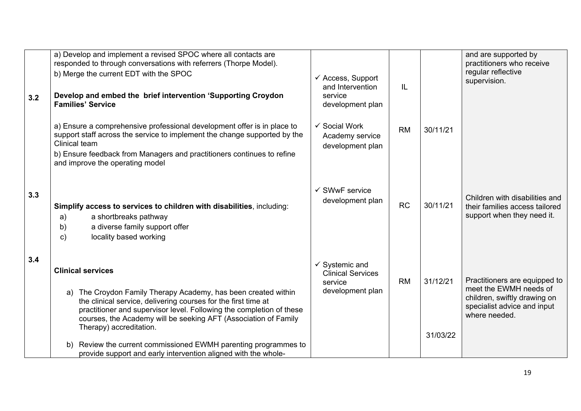| 3.2 | a) Develop and implement a revised SPOC where all contacts are<br>responded to through conversations with referrers (Thorpe Model).<br>b) Merge the current EDT with the SPOC<br>Develop and embed the brief intervention 'Supporting Croydon<br><b>Families' Service</b>                                                                                                                                                                                                  | $\checkmark$ Access, Support<br>and Intervention<br>service<br>development plan      | IL        |                      | and are supported by<br>practitioners who receive<br>regular reflective<br>supervision.                                                 |
|-----|----------------------------------------------------------------------------------------------------------------------------------------------------------------------------------------------------------------------------------------------------------------------------------------------------------------------------------------------------------------------------------------------------------------------------------------------------------------------------|--------------------------------------------------------------------------------------|-----------|----------------------|-----------------------------------------------------------------------------------------------------------------------------------------|
|     | a) Ensure a comprehensive professional development offer is in place to<br>support staff across the service to implement the change supported by the<br><b>Clinical team</b><br>b) Ensure feedback from Managers and practitioners continues to refine<br>and improve the operating model                                                                                                                                                                                  | ✓ Social Work<br>Academy service<br>development plan                                 | <b>RM</b> | 30/11/21             |                                                                                                                                         |
| 3.3 | Simplify access to services to children with disabilities, including:<br>a shortbreaks pathway<br>a)<br>a diverse family support offer<br>b)<br>locality based working<br>$\mathbf{c}$                                                                                                                                                                                                                                                                                     | $\checkmark$ SWwF service<br>development plan                                        | <b>RC</b> | 30/11/21             | Children with disabilities and<br>their families access tailored<br>support when they need it.                                          |
| 3.4 | <b>Clinical services</b><br>a) The Croydon Family Therapy Academy, has been created within<br>the clinical service, delivering courses for the first time at<br>practitioner and supervisor level. Following the completion of these<br>courses, the Academy will be seeking AFT (Association of Family<br>Therapy) accreditation.<br>Review the current commissioned EWMH parenting programmes to<br>b)<br>provide support and early intervention aligned with the whole- | $\checkmark$ Systemic and<br><b>Clinical Services</b><br>service<br>development plan | <b>RM</b> | 31/12/21<br>31/03/22 | Practitioners are equipped to<br>meet the EWMH needs of<br>children, swiftly drawing on<br>specialist advice and input<br>where needed. |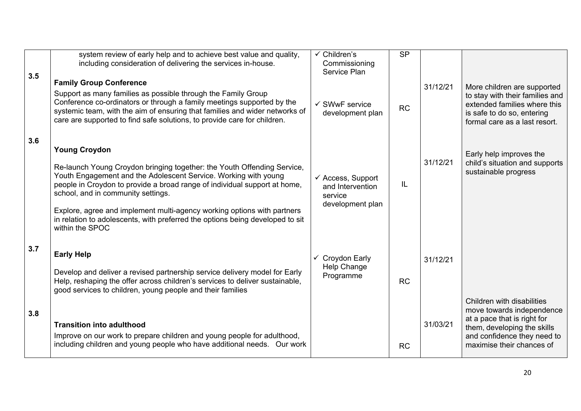| 3.5 | system review of early help and to achieve best value and quality,<br>including consideration of delivering the services in-house.<br><b>Family Group Conference</b>                                                                                                                                                                                                                                                                                                 | $\checkmark$ Children's<br>Commissioning<br>Service Plan                        | <b>SP</b> |          |                                                                                                                                                                                   |
|-----|----------------------------------------------------------------------------------------------------------------------------------------------------------------------------------------------------------------------------------------------------------------------------------------------------------------------------------------------------------------------------------------------------------------------------------------------------------------------|---------------------------------------------------------------------------------|-----------|----------|-----------------------------------------------------------------------------------------------------------------------------------------------------------------------------------|
|     | Support as many families as possible through the Family Group<br>Conference co-ordinators or through a family meetings supported by the<br>systemic team, with the aim of ensuring that families and wider networks of<br>care are supported to find safe solutions, to provide care for children.                                                                                                                                                                   | $\checkmark$ SWwF service<br>development plan                                   | <b>RC</b> | 31/12/21 | More children are supported<br>to stay with their families and<br>extended families where this<br>is safe to do so, entering<br>formal care as a last resort.                     |
| 3.6 | <b>Young Croydon</b><br>Re-launch Young Croydon bringing together: the Youth Offending Service,<br>Youth Engagement and the Adolescent Service. Working with young<br>people in Croydon to provide a broad range of individual support at home,<br>school, and in community settings.<br>Explore, agree and implement multi-agency working options with partners<br>in relation to adolescents, with preferred the options being developed to sit<br>within the SPOC | $\checkmark$ Access, Support<br>and Intervention<br>service<br>development plan | IL        | 31/12/21 | Early help improves the<br>child's situation and supports<br>sustainable progress                                                                                                 |
| 3.7 | <b>Early Help</b><br>Develop and deliver a revised partnership service delivery model for Early<br>Help, reshaping the offer across children's services to deliver sustainable,<br>good services to children, young people and their families                                                                                                                                                                                                                        | <b>Croydon Early</b><br>✓<br>Help Change<br>Programme                           | <b>RC</b> | 31/12/21 |                                                                                                                                                                                   |
| 3.8 | <b>Transition into adulthood</b><br>Improve on our work to prepare children and young people for adulthood,<br>including children and young people who have additional needs. Our work                                                                                                                                                                                                                                                                               |                                                                                 | <b>RC</b> | 31/03/21 | Children with disabilities<br>move towards independence<br>at a pace that is right for<br>them, developing the skills<br>and confidence they need to<br>maximise their chances of |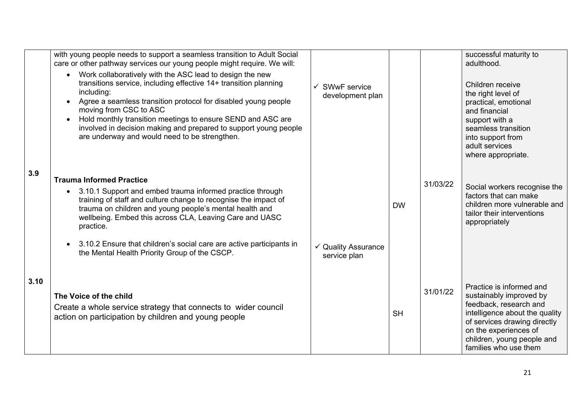|      | with young people needs to support a seamless transition to Adult Social<br>care or other pathway services our young people might require. We will:<br>Work collaboratively with the ASC lead to design the new<br>$\bullet$<br>transitions service, including effective 14+ transition planning<br>including:<br>Agree a seamless transition protocol for disabled young people<br>$\bullet$<br>moving from CSC to ASC<br>Hold monthly transition meetings to ensure SEND and ASC are<br>$\bullet$<br>involved in decision making and prepared to support young people<br>are underway and would need to be strengthen. | $\checkmark$ SWwF service<br>development plan |           |          | successful maturity to<br>adulthood.<br>Children receive<br>the right level of<br>practical, emotional<br>and financial<br>support with a<br>seamless transition<br>into support from<br>adult services<br>where appropriate.   |
|------|--------------------------------------------------------------------------------------------------------------------------------------------------------------------------------------------------------------------------------------------------------------------------------------------------------------------------------------------------------------------------------------------------------------------------------------------------------------------------------------------------------------------------------------------------------------------------------------------------------------------------|-----------------------------------------------|-----------|----------|---------------------------------------------------------------------------------------------------------------------------------------------------------------------------------------------------------------------------------|
| 3.9  | <b>Trauma Informed Practice</b><br>3.10.1 Support and embed trauma informed practice through<br>$\bullet$<br>training of staff and culture change to recognise the impact of<br>trauma on children and young people's mental health and<br>wellbeing. Embed this across CLA, Leaving Care and UASC<br>practice.<br>3.10.2 Ensure that children's social care are active participants in<br>$\bullet$<br>the Mental Health Priority Group of the CSCP.                                                                                                                                                                    | ✓ Quality Assurance<br>service plan           | <b>DW</b> | 31/03/22 | Social workers recognise the<br>factors that can make<br>children more vulnerable and<br>tailor their interventions<br>appropriately                                                                                            |
| 3.10 | The Voice of the child<br>Create a whole service strategy that connects to wider council<br>action on participation by children and young people                                                                                                                                                                                                                                                                                                                                                                                                                                                                         |                                               | <b>SH</b> | 31/01/22 | Practice is informed and<br>sustainably improved by<br>feedback, research and<br>intelligence about the quality<br>of services drawing directly<br>on the experiences of<br>children, young people and<br>families who use them |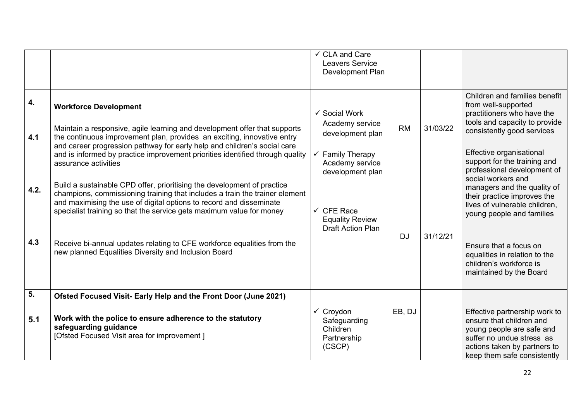|                          |                                                                                                                                                                                                                                                                                                                                                                                                                                                                                                                                                                                                                                                                                                                                                                                                                       | $\checkmark$ CLA and Care<br><b>Leavers Service</b><br>Development Plan                                                                                                                             |                        |                      |                                                                                                                                                                                                                                                                                                                                                                                                                                                                                                                 |
|--------------------------|-----------------------------------------------------------------------------------------------------------------------------------------------------------------------------------------------------------------------------------------------------------------------------------------------------------------------------------------------------------------------------------------------------------------------------------------------------------------------------------------------------------------------------------------------------------------------------------------------------------------------------------------------------------------------------------------------------------------------------------------------------------------------------------------------------------------------|-----------------------------------------------------------------------------------------------------------------------------------------------------------------------------------------------------|------------------------|----------------------|-----------------------------------------------------------------------------------------------------------------------------------------------------------------------------------------------------------------------------------------------------------------------------------------------------------------------------------------------------------------------------------------------------------------------------------------------------------------------------------------------------------------|
| 4.<br>4.1<br>4.2.<br>4.3 | <b>Workforce Development</b><br>Maintain a responsive, agile learning and development offer that supports<br>the continuous improvement plan, provides an exciting, innovative entry<br>and career progression pathway for early help and children's social care<br>and is informed by practice improvement priorities identified through quality<br>assurance activities<br>Build a sustainable CPD offer, prioritising the development of practice<br>champions, commissioning training that includes a train the trainer element<br>and maximising the use of digital options to record and disseminate<br>specialist training so that the service gets maximum value for money<br>Receive bi-annual updates relating to CFE workforce equalities from the<br>new planned Equalities Diversity and Inclusion Board | ✓ Social Work<br>Academy service<br>development plan<br><b>Family Therapy</b><br>Academy service<br>development plan<br>$\checkmark$ CFE Race<br><b>Equality Review</b><br><b>Draft Action Plan</b> | <b>RM</b><br><b>DJ</b> | 31/03/22<br>31/12/21 | Children and families benefit<br>from well-supported<br>practitioners who have the<br>tools and capacity to provide<br>consistently good services<br>Effective organisational<br>support for the training and<br>professional development of<br>social workers and<br>managers and the quality of<br>their practice improves the<br>lives of vulnerable children,<br>young people and families<br>Ensure that a focus on<br>equalities in relation to the<br>children's workforce is<br>maintained by the Board |
| 5.                       | Ofsted Focused Visit- Early Help and the Front Door (June 2021)                                                                                                                                                                                                                                                                                                                                                                                                                                                                                                                                                                                                                                                                                                                                                       |                                                                                                                                                                                                     |                        |                      |                                                                                                                                                                                                                                                                                                                                                                                                                                                                                                                 |
| 5.1                      | Work with the police to ensure adherence to the statutory<br>safeguarding guidance<br>[Ofsted Focused Visit area for improvement]                                                                                                                                                                                                                                                                                                                                                                                                                                                                                                                                                                                                                                                                                     | $\checkmark$ Croydon<br>Safeguarding<br>Children<br>Partnership<br>(CSCP)                                                                                                                           | EB, DJ                 |                      | Effective partnership work to<br>ensure that children and<br>young people are safe and<br>suffer no undue stress as<br>actions taken by partners to<br>keep them safe consistently                                                                                                                                                                                                                                                                                                                              |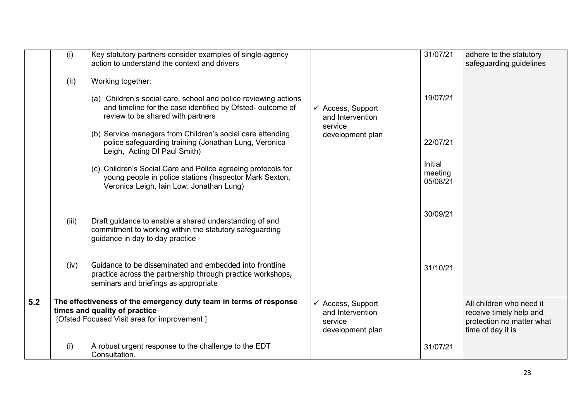|     | (i)   | Key statutory partners consider examples of single-agency<br>action to understand the context and drivers                                                                               |                                                                                 | 31/07/21                              | adhere to the statutory<br>safeguarding guidelines                                                    |
|-----|-------|-----------------------------------------------------------------------------------------------------------------------------------------------------------------------------------------|---------------------------------------------------------------------------------|---------------------------------------|-------------------------------------------------------------------------------------------------------|
|     | (ii)  | Working together:<br>(a) Children's social care, school and police reviewing actions<br>and timeline for the case identified by Ofsted- outcome of<br>review to be shared with partners | $\checkmark$ Access, Support<br>and Intervention                                | 19/07/21                              |                                                                                                       |
|     |       | (b) Service managers from Children's social care attending<br>police safeguarding training (Jonathan Lung, Veronica<br>Leigh, Acting DI Paul Smith)                                     | service<br>development plan                                                     | 22/07/21                              |                                                                                                       |
|     |       | (c) Children's Social Care and Police agreeing protocols for<br>young people in police stations (Inspector Mark Sexton,<br>Veronica Leigh, Iain Low, Jonathan Lung)                     |                                                                                 | <b>Initial</b><br>meeting<br>05/08/21 |                                                                                                       |
|     | (iii) | Draft guidance to enable a shared understanding of and<br>commitment to working within the statutory safeguarding<br>guidance in day to day practice                                    |                                                                                 | 30/09/21                              |                                                                                                       |
|     | (iv)  | Guidance to be disseminated and embedded into frontline<br>practice across the partnership through practice workshops,<br>seminars and briefings as appropriate                         |                                                                                 | 31/10/21                              |                                                                                                       |
| 5.2 |       | The effectiveness of the emergency duty team in terms of response<br>times and quality of practice<br>[Ofsted Focused Visit area for improvement]                                       | $\checkmark$ Access, Support<br>and Intervention<br>service<br>development plan |                                       | All children who need it<br>receive timely help and<br>protection no matter what<br>time of day it is |
|     | (i)   | A robust urgent response to the challenge to the EDT<br>Consultation.                                                                                                                   |                                                                                 | 31/07/21                              |                                                                                                       |